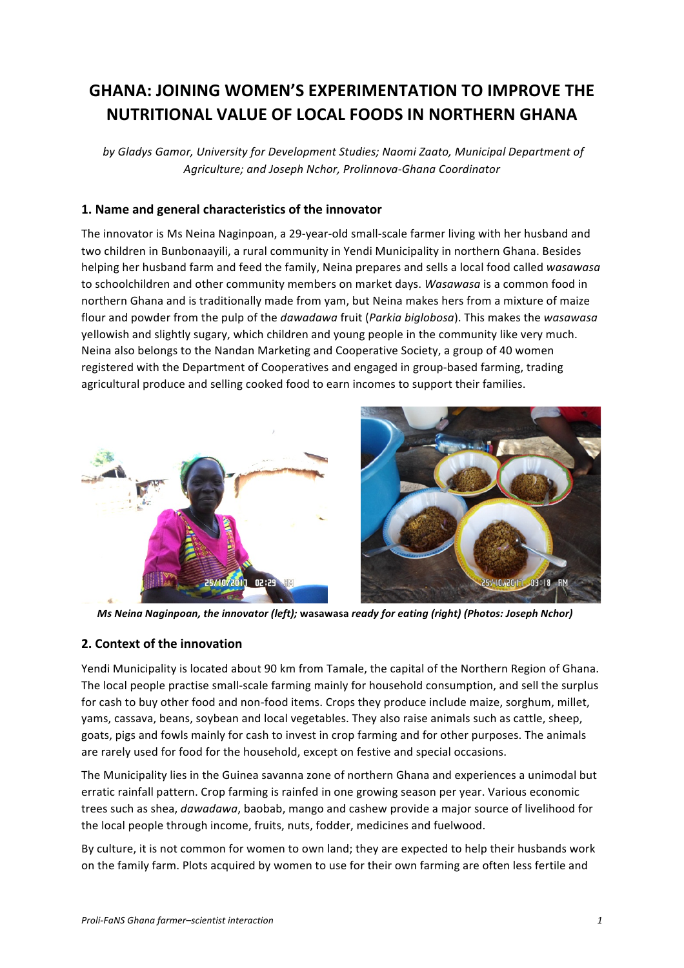# **GHANA: JOINING WOMEN'S EXPERIMENTATION TO IMPROVE THE NUTRITIONAL VALUE OF LOCAL FOODS IN NORTHERN GHANA**

by Gladys Gamor, University for Development Studies; Naomi Zaato, Municipal Department of *Agriculture; and Joseph Nchor, Prolinnova-Ghana Coordinator*

# 1. Name and general characteristics of the innovator

The innovator is Ms Neina Naginpoan, a 29-year-old small-scale farmer living with her husband and two children in Bunbonaayili, a rural community in Yendi Municipality in northern Ghana. Besides helping her husband farm and feed the family, Neina prepares and sells a local food called *wasawasa* to schoolchildren and other community members on market days. *Wasawasa* is a common food in northern Ghana and is traditionally made from yam, but Neina makes hers from a mixture of maize flour and powder from the pulp of the *dawadawa* fruit (*Parkia biglobosa*). This makes the wasawasa yellowish and slightly sugary, which children and young people in the community like very much. Neina also belongs to the Nandan Marketing and Cooperative Society, a group of 40 women registered with the Department of Cooperatives and engaged in group-based farming, trading agricultural produce and selling cooked food to earn incomes to support their families.





*Ms* Neina Naginpoan, the innovator (left); wasawasa ready for eating (right) (Photos: Joseph Nchor)

# **2. Context of the innovation**

Yendi Municipality is located about 90 km from Tamale, the capital of the Northern Region of Ghana. The local people practise small-scale farming mainly for household consumption, and sell the surplus for cash to buy other food and non-food items. Crops they produce include maize, sorghum, millet, yams, cassava, beans, soybean and local vegetables. They also raise animals such as cattle, sheep, goats, pigs and fowls mainly for cash to invest in crop farming and for other purposes. The animals are rarely used for food for the household, except on festive and special occasions.

The Municipality lies in the Guinea savanna zone of northern Ghana and experiences a unimodal but erratic rainfall pattern. Crop farming is rainfed in one growing season per year. Various economic trees such as shea, *dawadawa*, baobab, mango and cashew provide a major source of livelihood for the local people through income, fruits, nuts, fodder, medicines and fuelwood.

By culture, it is not common for women to own land; they are expected to help their husbands work on the family farm. Plots acquired by women to use for their own farming are often less fertile and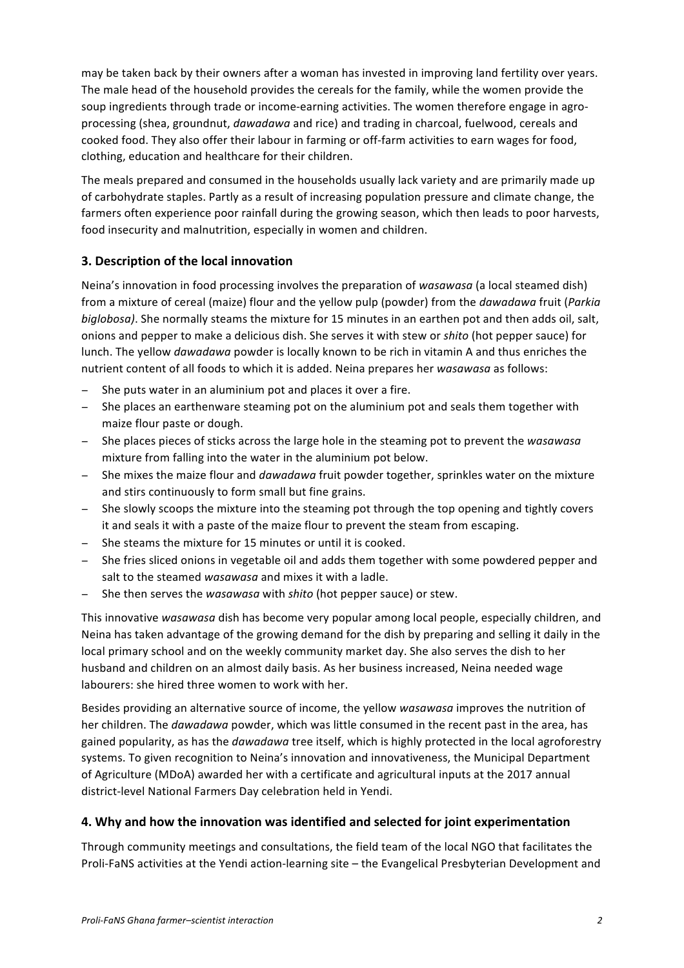may be taken back by their owners after a woman has invested in improving land fertility over years. The male head of the household provides the cereals for the family, while the women provide the soup ingredients through trade or income-earning activities. The women therefore engage in agroprocessing (shea, groundnut, *dawadawa* and rice) and trading in charcoal, fuelwood, cereals and cooked food. They also offer their labour in farming or off-farm activities to earn wages for food, clothing, education and healthcare for their children.

The meals prepared and consumed in the households usually lack variety and are primarily made up of carbohydrate staples. Partly as a result of increasing population pressure and climate change, the farmers often experience poor rainfall during the growing season, which then leads to poor harvests, food insecurity and malnutrition, especially in women and children.

# **3. Description of the local innovation**

Neina's innovation in food processing involves the preparation of wasawasa (a local steamed dish) from a mixture of cereal (maize) flour and the yellow pulp (powder) from the *dawadawa* fruit (*Parkia biglobosa*). She normally steams the mixture for 15 minutes in an earthen pot and then adds oil, salt, onions and pepper to make a delicious dish. She serves it with stew or *shito* (hot pepper sauce) for lunch. The yellow *dawadawa* powder is locally known to be rich in vitamin A and thus enriches the nutrient content of all foods to which it is added. Neina prepares her *wasawasa* as follows:

- She puts water in an aluminium pot and places it over a fire.
- − She places an earthenware steaming pot on the aluminium pot and seals them together with maize flour paste or dough.
- − She places pieces of sticks across the large hole in the steaming pot to prevent the *wasawasa* mixture from falling into the water in the aluminium pot below.
- − She mixes the maize flour and *dawadawa* fruit powder together, sprinkles water on the mixture and stirs continuously to form small but fine grains.
- − She slowly scoops the mixture into the steaming pot through the top opening and tightly covers it and seals it with a paste of the maize flour to prevent the steam from escaping.
- − She steams the mixture for 15 minutes or until it is cooked.
- − She fries sliced onions in vegetable oil and adds them together with some powdered pepper and salt to the steamed *wasawasa* and mixes it with a ladle.
- She then serves the *wasawasa* with *shito* (hot pepper sauce) or stew.

This innovative *wasawasa* dish has become very popular among local people, especially children, and Neina has taken advantage of the growing demand for the dish by preparing and selling it daily in the local primary school and on the weekly community market day. She also serves the dish to her husband and children on an almost daily basis. As her business increased, Neina needed wage labourers: she hired three women to work with her.

Besides providing an alternative source of income, the yellow *wasawasa* improves the nutrition of her children. The *dawadawa* powder, which was little consumed in the recent past in the area, has gained popularity, as has the *dawadawa* tree itself, which is highly protected in the local agroforestry systems. To given recognition to Neina's innovation and innovativeness, the Municipal Department of Agriculture (MDoA) awarded her with a certificate and agricultural inputs at the 2017 annual district-level National Farmers Day celebration held in Yendi.

# **4. Why and how the innovation was identified and selected for joint experimentation**

Through community meetings and consultations, the field team of the local NGO that facilitates the Proli-FaNS activities at the Yendi action-learning site – the Evangelical Presbyterian Development and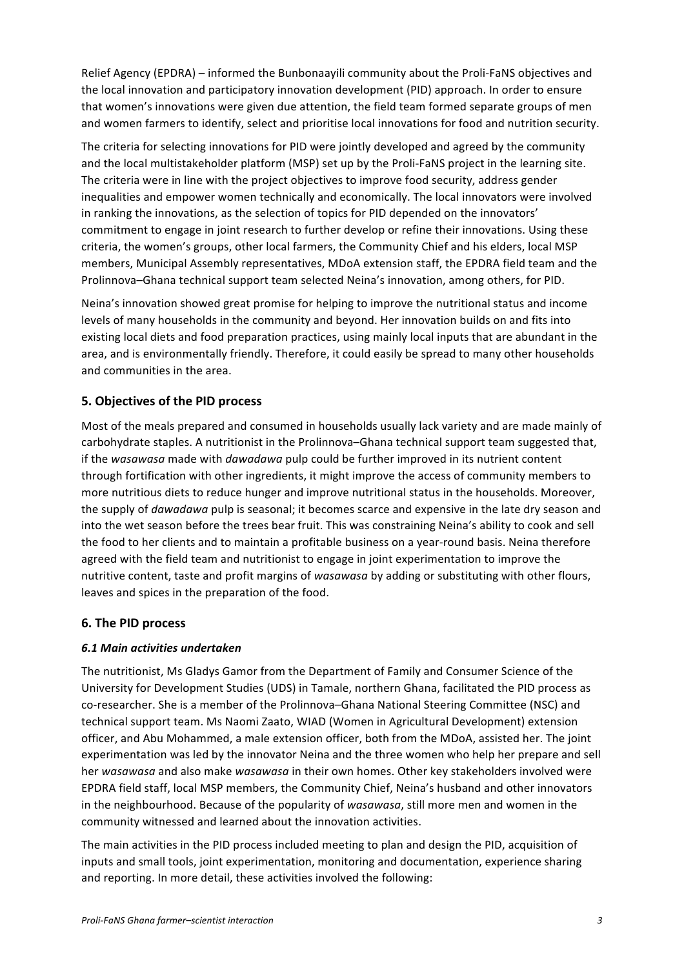Relief Agency (EPDRA) – informed the Bunbonaayili community about the Proli-FaNS objectives and the local innovation and participatory innovation development (PID) approach. In order to ensure that women's innovations were given due attention, the field team formed separate groups of men and women farmers to identify, select and prioritise local innovations for food and nutrition security.

The criteria for selecting innovations for PID were jointly developed and agreed by the community and the local multistakeholder platform (MSP) set up by the Proli-FaNS project in the learning site. The criteria were in line with the project objectives to improve food security, address gender inequalities and empower women technically and economically. The local innovators were involved in ranking the innovations, as the selection of topics for PID depended on the innovators' commitment to engage in joint research to further develop or refine their innovations. Using these criteria, the women's groups, other local farmers, the Community Chief and his elders, local MSP members, Municipal Assembly representatives, MDoA extension staff, the EPDRA field team and the Prolinnova–Ghana technical support team selected Neina's innovation, among others, for PID.

Neina's innovation showed great promise for helping to improve the nutritional status and income levels of many households in the community and beyond. Her innovation builds on and fits into existing local diets and food preparation practices, using mainly local inputs that are abundant in the area, and is environmentally friendly. Therefore, it could easily be spread to many other households and communities in the area.

# **5. Objectives of the PID process**

Most of the meals prepared and consumed in households usually lack variety and are made mainly of carbohydrate staples. A nutritionist in the Prolinnova-Ghana technical support team suggested that, if the wasawasa made with *dawadawa* pulp could be further improved in its nutrient content through fortification with other ingredients, it might improve the access of community members to more nutritious diets to reduce hunger and improve nutritional status in the households. Moreover, the supply of *dawadawa* pulp is seasonal; it becomes scarce and expensive in the late dry season and into the wet season before the trees bear fruit. This was constraining Neina's ability to cook and sell the food to her clients and to maintain a profitable business on a year-round basis. Neina therefore agreed with the field team and nutritionist to engage in joint experimentation to improve the nutritive content, taste and profit margins of wasawasa by adding or substituting with other flours, leaves and spices in the preparation of the food.

# **6. The PID process**

# *6.1 Main activities undertaken*

The nutritionist, Ms Gladys Gamor from the Department of Family and Consumer Science of the University for Development Studies (UDS) in Tamale, northern Ghana, facilitated the PID process as co-researcher. She is a member of the Prolinnova-Ghana National Steering Committee (NSC) and technical support team. Ms Naomi Zaato, WIAD (Women in Agricultural Development) extension officer, and Abu Mohammed, a male extension officer, both from the MDoA, assisted her. The joint experimentation was led by the innovator Neina and the three women who help her prepare and sell her wasawasa and also make wasawasa in their own homes. Other key stakeholders involved were EPDRA field staff, local MSP members, the Community Chief, Neina's husband and other innovators in the neighbourhood. Because of the popularity of *wasawasa*, still more men and women in the community witnessed and learned about the innovation activities.

The main activities in the PID process included meeting to plan and design the PID, acquisition of inputs and small tools, joint experimentation, monitoring and documentation, experience sharing and reporting. In more detail, these activities involved the following: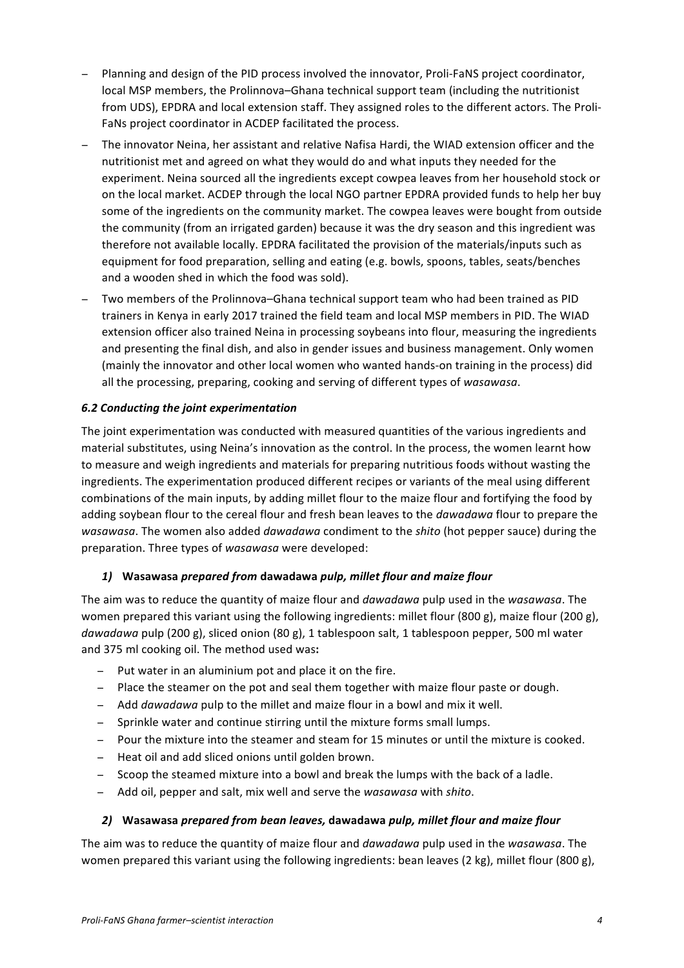- Planning and design of the PID process involved the innovator, Proli-FaNS project coordinator, local MSP members, the Prolinnova–Ghana technical support team (including the nutritionist from UDS), EPDRA and local extension staff. They assigned roles to the different actors. The Proli-FaNs project coordinator in ACDEP facilitated the process.
- − The innovator Neina, her assistant and relative Nafisa Hardi, the WIAD extension officer and the nutritionist met and agreed on what they would do and what inputs they needed for the experiment. Neina sourced all the ingredients except cowpea leaves from her household stock or on the local market. ACDEP through the local NGO partner EPDRA provided funds to help her buy some of the ingredients on the community market. The cowpea leaves were bought from outside the community (from an irrigated garden) because it was the dry season and this ingredient was therefore not available locally. EPDRA facilitated the provision of the materials/inputs such as equipment for food preparation, selling and eating (e.g. bowls, spoons, tables, seats/benches and a wooden shed in which the food was sold).
- Two members of the Prolinnova–Ghana technical support team who had been trained as PID trainers in Kenya in early 2017 trained the field team and local MSP members in PID. The WIAD extension officer also trained Neina in processing soybeans into flour, measuring the ingredients and presenting the final dish, and also in gender issues and business management. Only women (mainly the innovator and other local women who wanted hands-on training in the process) did all the processing, preparing, cooking and serving of different types of *wasawasa*.

# *6.2 Conducting the joint experimentation*

The joint experimentation was conducted with measured quantities of the various ingredients and material substitutes, using Neina's innovation as the control. In the process, the women learnt how to measure and weigh ingredients and materials for preparing nutritious foods without wasting the ingredients. The experimentation produced different recipes or variants of the meal using different combinations of the main inputs, by adding millet flour to the maize flour and fortifying the food by adding soybean flour to the cereal flour and fresh bean leaves to the *dawadawa* flour to prepare the *wasawasa*. The women also added *dawadawa* condiment to the *shito* (hot pepper sauce) during the preparation. Three types of *wasawasa* were developed:

# *1)* **Wasawasa** *prepared from* **dawadawa** *pulp, millet flour and maize flour*

The aim was to reduce the quantity of maize flour and *dawadawa* pulp used in the wasawasa. The women prepared this variant using the following ingredients: millet flour  $(800 \text{ g})$ , maize flour  $(200 \text{ g})$ , dawadawa pulp (200 g), sliced onion (80 g), 1 tablespoon salt, 1 tablespoon pepper, 500 ml water and 375 ml cooking oil. The method used was:

- Put water in an aluminium pot and place it on the fire.
- − Place the steamer on the pot and seal them together with maize flour paste or dough.
- − Add *dawadawa* pulp to the millet and maize flour in a bowl and mix it well.
- − Sprinkle water and continue stirring until the mixture forms small lumps.
- − Pour the mixture into the steamer and steam for 15 minutes or until the mixture is cooked.
- − Heat oil and add sliced onions until golden brown.
- − Scoop the steamed mixture into a bowl and break the lumps with the back of a ladle.
- − Add oil, pepper and salt, mix well and serve the *wasawasa* with *shito*.

### 2) Wasawasa *prepared from bean leaves,* dawadawa *pulp, millet flour and maize flour*

The aim was to reduce the quantity of maize flour and *dawadawa* pulp used in the *wasawasa*. The women prepared this variant using the following ingredients: bean leaves (2 kg), millet flour (800 g),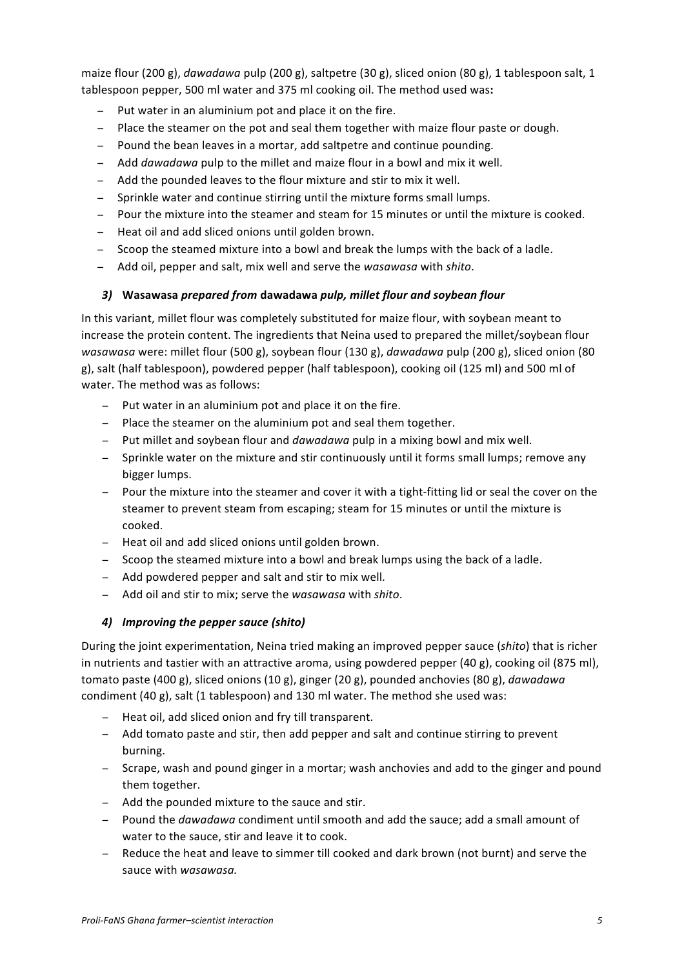maize flour  $(200 \text{ g})$ , *dawadawa* pulp  $(200 \text{ g})$ , saltpetre  $(30 \text{ g})$ , sliced onion  $(80 \text{ g})$ , 1 tablespoon salt, 1 tablespoon pepper, 500 ml water and 375 ml cooking oil. The method used was:

- Put water in an aluminium pot and place it on the fire.
- − Place the steamer on the pot and seal them together with maize flour paste or dough.
- − Pound the bean leaves in a mortar, add saltpetre and continue pounding.
- − Add *dawadawa* pulp to the millet and maize flour in a bowl and mix it well.
- Add the pounded leaves to the flour mixture and stir to mix it well.
- − Sprinkle water and continue stirring until the mixture forms small lumps.
- − Pour the mixture into the steamer and steam for 15 minutes or until the mixture is cooked.
- − Heat oil and add sliced onions until golden brown.
- − Scoop the steamed mixture into a bowl and break the lumps with the back of a ladle.
- − Add oil, pepper and salt, mix well and serve the *wasawasa* with *shito*.

# *3)* **Wasawasa** *prepared from* **dawadawa** *pulp, millet flour and soybean flour*

In this variant, millet flour was completely substituted for maize flour, with soybean meant to increase the protein content. The ingredients that Neina used to prepared the millet/soybean flour *wasawasa* were: millet flour (500 g), soybean flour (130 g), *dawadawa* pulp (200 g), sliced onion (80 g), salt (half tablespoon), powdered pepper (half tablespoon), cooking oil (125 ml) and 500 ml of water. The method was as follows:

- − Put water in an aluminium pot and place it on the fire.
- − Place the steamer on the aluminium pot and seal them together.
- − Put millet and soybean flour and *dawadawa* pulp in a mixing bowl and mix well.
- − Sprinkle water on the mixture and stir continuously until it forms small lumps; remove any bigger lumps.
- − Pour the mixture into the steamer and cover it with a tight-fitting lid or seal the cover on the steamer to prevent steam from escaping; steam for 15 minutes or until the mixture is cooked.
- − Heat oil and add sliced onions until golden brown.
- − Scoop the steamed mixture into a bowl and break lumps using the back of a ladle.
- − Add powdered pepper and salt and stir to mix well.
- − Add oil and stir to mix; serve the *wasawasa* with *shito*.

# *4) Improving the pepper sauce (shito)*

During the joint experimentation, Neina tried making an improved pepper sauce (shito) that is richer in nutrients and tastier with an attractive aroma, using powdered pepper  $(40 g)$ , cooking oil  $(875 ml)$ , tomato paste (400 g), sliced onions (10 g), ginger (20 g), pounded anchovies (80 g), *dawadawa* condiment  $(40 g)$ , salt  $(1$  tablespoon) and 130 ml water. The method she used was:

- − Heat oil, add sliced onion and fry till transparent.
- − Add tomato paste and stir, then add pepper and salt and continue stirring to prevent burning.
- − Scrape, wash and pound ginger in a mortar; wash anchovies and add to the ginger and pound them together.
- − Add the pounded mixture to the sauce and stir.
- − Pound the *dawadawa* condiment until smooth and add the sauce; add a small amount of water to the sauce, stir and leave it to cook.
- − Reduce the heat and leave to simmer till cooked and dark brown (not burnt) and serve the sauce with *wasawasa*.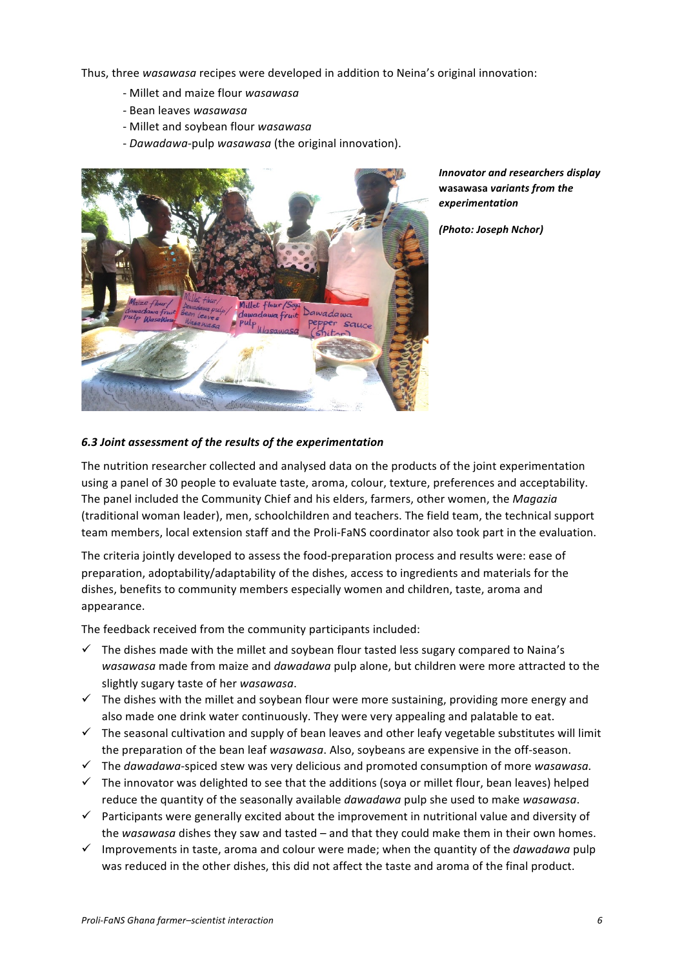Thus, three *wasawasa* recipes were developed in addition to Neina's original innovation:

- Millet and maize flour *wasawasa*
- *-* Bean leaves *wasawasa*
- Millet and soybean flour *wasawasa*
- *Dawadawa-pulp wasawasa* (the original innovation).



*Innovator and researchers display*  **wasawasa** *variants from the experimentation*

*(Photo: Joseph Nchor)*

## *6.3 Joint assessment of the results of the experimentation*

The nutrition researcher collected and analysed data on the products of the joint experimentation using a panel of 30 people to evaluate taste, aroma, colour, texture, preferences and acceptability. The panel included the Community Chief and his elders, farmers, other women, the *Magazia* (traditional woman leader), men, schoolchildren and teachers. The field team, the technical support team members, local extension staff and the Proli-FaNS coordinator also took part in the evaluation.

The criteria jointly developed to assess the food-preparation process and results were: ease of preparation, adoptability/adaptability of the dishes, access to ingredients and materials for the dishes, benefits to community members especially women and children, taste, aroma and appearance.

The feedback received from the community participants included:

- $\checkmark$  The dishes made with the millet and soybean flour tasted less sugary compared to Naina's wasawasa made from maize and *dawadawa* pulp alone, but children were more attracted to the slightly sugary taste of her *wasawasa*.
- $\checkmark$  The dishes with the millet and soybean flour were more sustaining, providing more energy and also made one drink water continuously. They were very appealing and palatable to eat.
- $\checkmark$  The seasonal cultivation and supply of bean leaves and other leafy vegetable substitutes will limit the preparation of the bean leaf wasawasa. Also, soybeans are expensive in the off-season.
- $\checkmark$  The *dawadawa*-spiced stew was very delicious and promoted consumption of more *wasawasa.*
- $\checkmark$  The innovator was delighted to see that the additions (soya or millet flour, bean leaves) helped reduce the quantity of the seasonally available *dawadawa* pulp she used to make *wasawasa*.
- $\checkmark$  Participants were generally excited about the improvement in nutritional value and diversity of the wasawasa dishes they saw and tasted – and that they could make them in their own homes.
- $\checkmark$  Improvements in taste, aroma and colour were made; when the quantity of the *dawadawa* pulp was reduced in the other dishes, this did not affect the taste and aroma of the final product.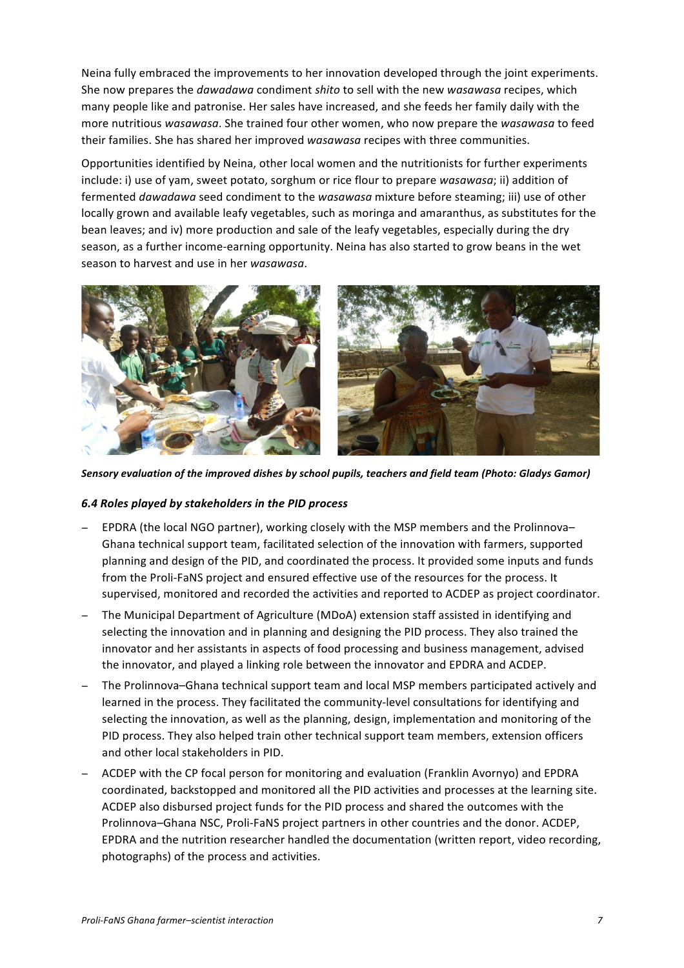Neina fully embraced the improvements to her innovation developed through the joint experiments. She now prepares the *dawadawa* condiment *shito* to sell with the new *wasawasa* recipes, which many people like and patronise. Her sales have increased, and she feeds her family daily with the more nutritious wasawasa. She trained four other women, who now prepare the wasawasa to feed their families. She has shared her improved *wasawasa* recipes with three communities.

Opportunities identified by Neina, other local women and the nutritionists for further experiments include: i) use of yam, sweet potato, sorghum or rice flour to prepare *wasawasa*; ii) addition of fermented *dawadawa* seed condiment to the *wasawasa* mixture before steaming; iii) use of other locally grown and available leafy vegetables, such as moringa and amaranthus, as substitutes for the bean leaves; and iv) more production and sale of the leafy vegetables, especially during the dry season, as a further income-earning opportunity. Neina has also started to grow beans in the wet season to harvest and use in her *wasawasa*.



Sensory evaluation of the improved dishes by school pupils, teachers and field team (Photo: Gladys Gamor)

### 6.4 Roles played by stakeholders in the PID process

- EPDRA (the local NGO partner), working closely with the MSP members and the Prolinnova– Ghana technical support team, facilitated selection of the innovation with farmers, supported planning and design of the PID, and coordinated the process. It provided some inputs and funds from the Proli-FaNS project and ensured effective use of the resources for the process. It supervised, monitored and recorded the activities and reported to ACDEP as project coordinator.
- The Municipal Department of Agriculture (MDoA) extension staff assisted in identifying and selecting the innovation and in planning and designing the PID process. They also trained the innovator and her assistants in aspects of food processing and business management, advised the innovator, and played a linking role between the innovator and EPDRA and ACDEP.
- The Prolinnova–Ghana technical support team and local MSP members participated actively and learned in the process. They facilitated the community-level consultations for identifying and selecting the innovation, as well as the planning, design, implementation and monitoring of the PID process. They also helped train other technical support team members, extension officers and other local stakeholders in PID.
- − ACDEP with the CP focal person for monitoring and evaluation (Franklin Avornyo) and EPDRA coordinated, backstopped and monitored all the PID activities and processes at the learning site. ACDEP also disbursed project funds for the PID process and shared the outcomes with the Prolinnova–Ghana NSC, Proli-FaNS project partners in other countries and the donor. ACDEP, EPDRA and the nutrition researcher handled the documentation (written report, video recording, photographs) of the process and activities.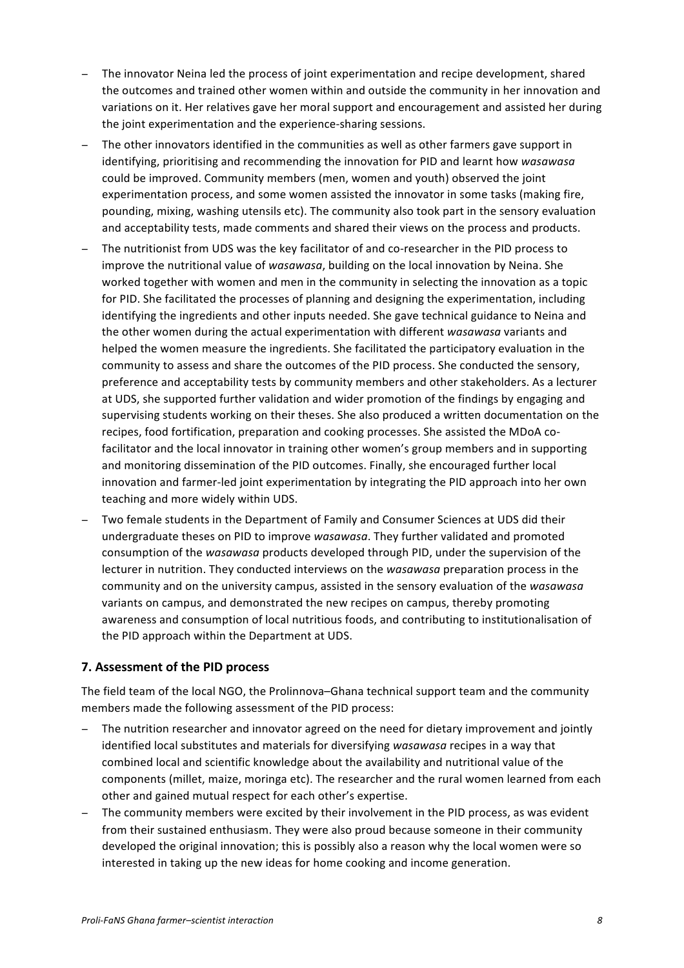- The innovator Neina led the process of joint experimentation and recipe development, shared the outcomes and trained other women within and outside the community in her innovation and variations on it. Her relatives gave her moral support and encouragement and assisted her during the joint experimentation and the experience-sharing sessions.
- − The other innovators identified in the communities as well as other farmers gave support in identifying, prioritising and recommending the innovation for PID and learnt how *wasawasa* could be improved. Community members (men, women and youth) observed the joint experimentation process, and some women assisted the innovator in some tasks (making fire, pounding, mixing, washing utensils etc). The community also took part in the sensory evaluation and acceptability tests, made comments and shared their views on the process and products.
- − The nutritionist from UDS was the key facilitator of and co-researcher in the PID process to improve the nutritional value of wasawasa, building on the local innovation by Neina. She worked together with women and men in the community in selecting the innovation as a topic for PID. She facilitated the processes of planning and designing the experimentation, including identifying the ingredients and other inputs needed. She gave technical guidance to Neina and the other women during the actual experimentation with different wasawasa variants and helped the women measure the ingredients. She facilitated the participatory evaluation in the community to assess and share the outcomes of the PID process. She conducted the sensory, preference and acceptability tests by community members and other stakeholders. As a lecturer at UDS, she supported further validation and wider promotion of the findings by engaging and supervising students working on their theses. She also produced a written documentation on the recipes, food fortification, preparation and cooking processes. She assisted the MDoA cofacilitator and the local innovator in training other women's group members and in supporting and monitoring dissemination of the PID outcomes. Finally, she encouraged further local innovation and farmer-led joint experimentation by integrating the PID approach into her own teaching and more widely within UDS.
- − Two female students in the Department of Family and Consumer Sciences at UDS did their undergraduate theses on PID to improve *wasawasa*. They further validated and promoted consumption of the *wasawasa* products developed through PID, under the supervision of the lecturer in nutrition. They conducted interviews on the *wasawasa* preparation process in the community and on the university campus, assisted in the sensory evaluation of the wasawasa variants on campus, and demonstrated the new recipes on campus, thereby promoting awareness and consumption of local nutritious foods, and contributing to institutionalisation of the PID approach within the Department at UDS.

# **7. Assessment of the PID process**

The field team of the local NGO, the Prolinnova-Ghana technical support team and the community members made the following assessment of the PID process:

- The nutrition researcher and innovator agreed on the need for dietary improvement and jointly identified local substitutes and materials for diversifying wasawasa recipes in a way that combined local and scientific knowledge about the availability and nutritional value of the components (millet, maize, moringa etc). The researcher and the rural women learned from each other and gained mutual respect for each other's expertise.
- The community members were excited by their involvement in the PID process, as was evident from their sustained enthusiasm. They were also proud because someone in their community developed the original innovation; this is possibly also a reason why the local women were so interested in taking up the new ideas for home cooking and income generation.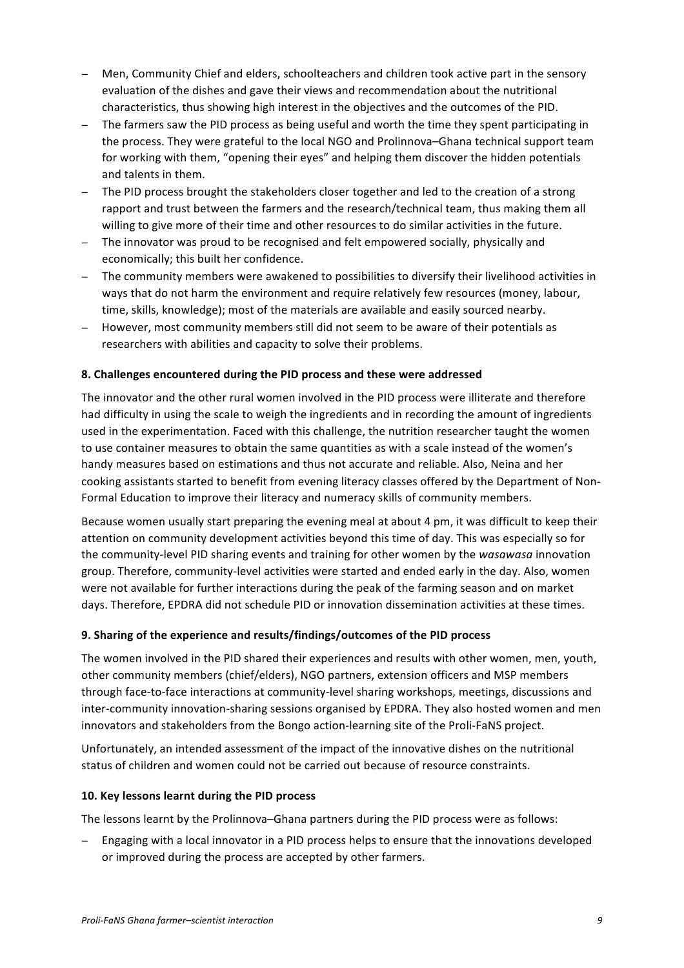- Men. Community Chief and elders, schoolteachers and children took active part in the sensory evaluation of the dishes and gave their views and recommendation about the nutritional characteristics, thus showing high interest in the objectives and the outcomes of the PID.
- − The farmers saw the PID process as being useful and worth the time they spent participating in the process. They were grateful to the local NGO and Prolinnova–Ghana technical support team for working with them, "opening their eyes" and helping them discover the hidden potentials and talents in them.
- − The PID process brought the stakeholders closer together and led to the creation of a strong rapport and trust between the farmers and the research/technical team, thus making them all willing to give more of their time and other resources to do similar activities in the future.
- The innovator was proud to be recognised and felt empowered socially, physically and economically: this built her confidence.
- − The community members were awakened to possibilities to diversify their livelihood activities in ways that do not harm the environment and require relatively few resources (money, labour, time, skills, knowledge); most of the materials are available and easily sourced nearby.
- − However, most community members still did not seem to be aware of their potentials as researchers with abilities and capacity to solve their problems.

# **8. Challenges encountered during the PID process and these were addressed**

The innovator and the other rural women involved in the PID process were illiterate and therefore had difficulty in using the scale to weigh the ingredients and in recording the amount of ingredients used in the experimentation. Faced with this challenge, the nutrition researcher taught the women to use container measures to obtain the same quantities as with a scale instead of the women's handy measures based on estimations and thus not accurate and reliable. Also, Neina and her cooking assistants started to benefit from evening literacy classes offered by the Department of Non-Formal Education to improve their literacy and numeracy skills of community members.

Because women usually start preparing the evening meal at about 4 pm, it was difficult to keep their attention on community development activities beyond this time of day. This was especially so for the community-level PID sharing events and training for other women by the *wasawasa* innovation group. Therefore, community-level activities were started and ended early in the day. Also, women were not available for further interactions during the peak of the farming season and on market days. Therefore, EPDRA did not schedule PID or innovation dissemination activities at these times.

### **9. Sharing of the experience and results/findings/outcomes of the PID process**

The women involved in the PID shared their experiences and results with other women, men, youth, other community members (chief/elders), NGO partners, extension officers and MSP members through face-to-face interactions at community-level sharing workshops, meetings, discussions and inter-community innovation-sharing sessions organised by EPDRA. They also hosted women and men innovators and stakeholders from the Bongo action-learning site of the Proli-FaNS project.

Unfortunately, an intended assessment of the impact of the innovative dishes on the nutritional status of children and women could not be carried out because of resource constraints.

### 10. Key lessons learnt during the PID process

The lessons learnt by the Prolinnova–Ghana partners during the PID process were as follows:

Engaging with a local innovator in a PID process helps to ensure that the innovations developed or improved during the process are accepted by other farmers.